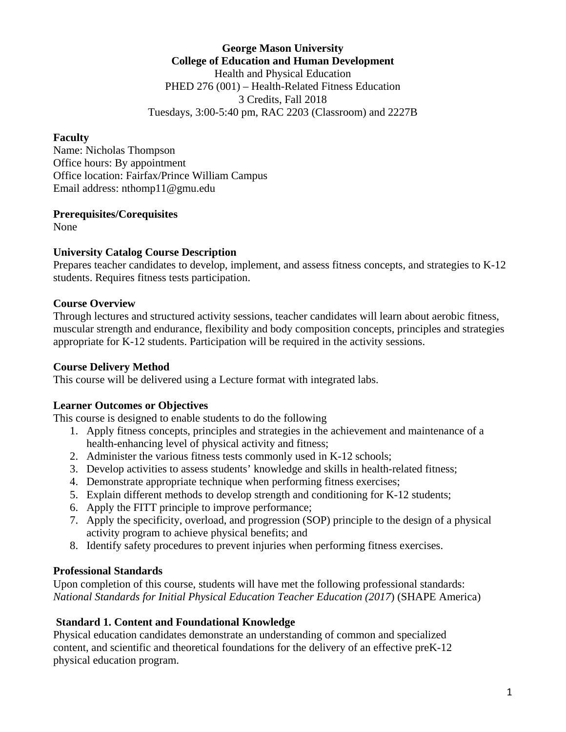**George Mason University College of Education and Human Development** Health and Physical Education PHED 276 (001) – Health-Related Fitness Education 3 Credits, Fall 2018 Tuesdays, 3:00-5:40 pm, RAC 2203 (Classroom) and 2227B

#### **Faculty**

Name: Nicholas Thompson Office hours: By appointment Office location: Fairfax/Prince William Campus Email address: nthomp11@gmu.edu

### **Prerequisites/Corequisites**

None

### **University Catalog Course Description**

Prepares teacher candidates to develop, implement, and assess fitness concepts, and strategies to K-12 students. Requires fitness tests participation.

### **Course Overview**

Through lectures and structured activity sessions, teacher candidates will learn about aerobic fitness, muscular strength and endurance, flexibility and body composition concepts, principles and strategies appropriate for K-12 students. Participation will be required in the activity sessions.

#### **Course Delivery Method**

This course will be delivered using a Lecture format with integrated labs.

#### **Learner Outcomes or Objectives**

This course is designed to enable students to do the following

- 1. Apply fitness concepts, principles and strategies in the achievement and maintenance of a health-enhancing level of physical activity and fitness;
- 2. Administer the various fitness tests commonly used in K-12 schools;
- 3. Develop activities to assess students' knowledge and skills in health-related fitness;
- 4. Demonstrate appropriate technique when performing fitness exercises;
- 5. Explain different methods to develop strength and conditioning for K-12 students;
- 6. Apply the FITT principle to improve performance;
- 7. Apply the specificity, overload, and progression (SOP) principle to the design of a physical activity program to achieve physical benefits; and
- 8. Identify safety procedures to prevent injuries when performing fitness exercises.

### **Professional Standards**

Upon completion of this course, students will have met the following professional standards: *National Standards for Initial Physical Education Teacher Education (2017*) (SHAPE America)

### **Standard 1. Content and Foundational Knowledge**

Physical education candidates demonstrate an understanding of common and specialized content, and scientific and theoretical foundations for the delivery of an effective preK-12 physical education program.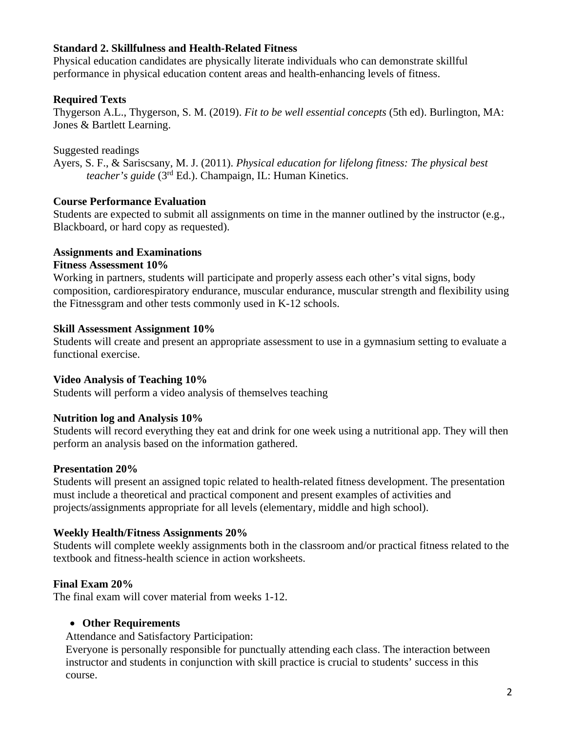### **Standard 2. Skillfulness and Health-Related Fitness**

Physical education candidates are physically literate individuals who can demonstrate skillful performance in physical education content areas and health-enhancing levels of fitness.

## **Required Texts**

Thygerson A.L., Thygerson, S. M. (2019). *Fit to be well essential concepts* (5th ed). Burlington, MA: Jones & Bartlett Learning.

Suggested readings

Ayers, S. F., & Sariscsany, M. J. (2011). *Physical education for lifelong fitness: The physical best teacher's guide* (3rd Ed.). Champaign, IL: Human Kinetics.

# **Course Performance Evaluation**

Students are expected to submit all assignments on time in the manner outlined by the instructor (e.g., Blackboard, or hard copy as requested).

## **Assignments and Examinations**

## **Fitness Assessment 10%**

Working in partners, students will participate and properly assess each other's vital signs, body composition, cardiorespiratory endurance, muscular endurance, muscular strength and flexibility using the Fitnessgram and other tests commonly used in K-12 schools.

## **Skill Assessment Assignment 10%**

Students will create and present an appropriate assessment to use in a gymnasium setting to evaluate a functional exercise.

# **Video Analysis of Teaching 10%**

Students will perform a video analysis of themselves teaching

# **Nutrition log and Analysis 10%**

Students will record everything they eat and drink for one week using a nutritional app. They will then perform an analysis based on the information gathered.

# **Presentation 20%**

Students will present an assigned topic related to health-related fitness development. The presentation must include a theoretical and practical component and present examples of activities and projects/assignments appropriate for all levels (elementary, middle and high school).

## **Weekly Health/Fitness Assignments 20%**

Students will complete weekly assignments both in the classroom and/or practical fitness related to the textbook and fitness-health science in action worksheets.

# **Final Exam 20%**

The final exam will cover material from weeks 1-12.

# • **Other Requirements**

Attendance and Satisfactory Participation:

Everyone is personally responsible for punctually attending each class. The interaction between instructor and students in conjunction with skill practice is crucial to students' success in this course.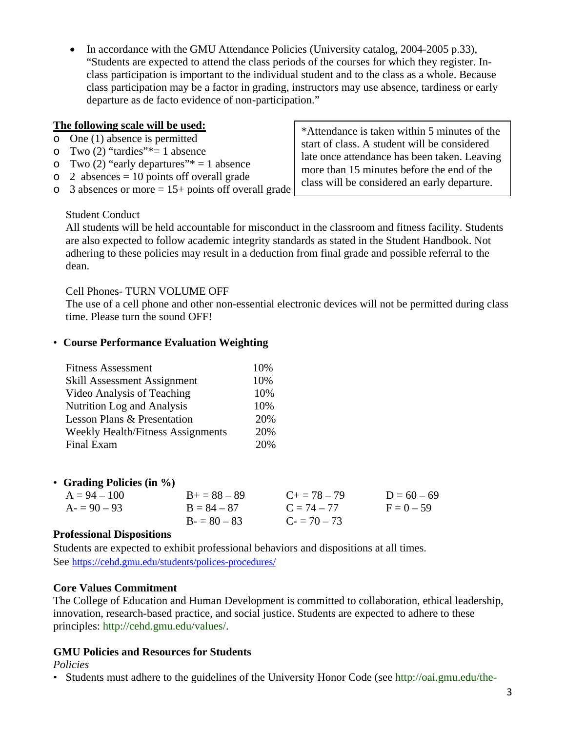• In accordance with the GMU Attendance Policies (University catalog, 2004-2005 p.33), "Students are expected to attend the class periods of the courses for which they register. Inclass participation is important to the individual student and to the class as a whole. Because class participation may be a factor in grading, instructors may use absence, tardiness or early departure as de facto evidence of non-participation."

## **The following scale will be used:**

- o One (1) absence is permitted
- o Two  $(2)$  "tardies" \*= 1 absence
- o Two  $(2)$  "early departures"\* = 1 absence
- $\circ$  2 absences = 10 points off overall grade
- $\circ$  3 absences or more = 15+ points off overall grade

\*Attendance is taken within 5 minutes of the start of class. A student will be considered late once attendance has been taken. Leaving more than 15 minutes before the end of the class will be considered an early departure.

#### Student Conduct

All students will be held accountable for misconduct in the classroom and fitness facility. Students are also expected to follow academic integrity standards as stated in the Student Handbook. Not adhering to these policies may result in a deduction from final grade and possible referral to the dean.

### Cell Phones- TURN VOLUME OFF

The use of a cell phone and other non-essential electronic devices will not be permitted during class time. Please turn the sound OFF!

### • **Course Performance Evaluation Weighting**

| 10% |
|-----|
| 10% |
| 10% |
| 10% |
| 20% |
| 20% |
| 20% |
|     |

| • Grading Policies (in $\%$ ) |                   |                     |               |
|-------------------------------|-------------------|---------------------|---------------|
| $A = 94 - 100$                | $B_{+} = 88 - 89$ | $C_{\pm} = 78 - 79$ | $D = 60 - 69$ |
| $A = 90 - 93$                 | $B = 84 - 87$     | $C = 74 - 77$       | $F = 0 - 59$  |
|                               | $B = 80 - 83$     | $C = 70 - 73$       |               |

#### **Professional Dispositions**

Students are expected to exhibit professional behaviors and dispositions at all times. See <https://cehd.gmu.edu/students/polices-procedures/>

#### **Core Values Commitment**

The College of Education and Human Development is committed to collaboration, ethical leadership, innovation, research-based practice, and social justice. Students are expected to adhere to these principles: http://cehd.gmu.edu/values/.

### **GMU Policies and Resources for Students**

*Policies* 

• Students must adhere to the guidelines of the University Honor Code (see http://oai.gmu.edu/the-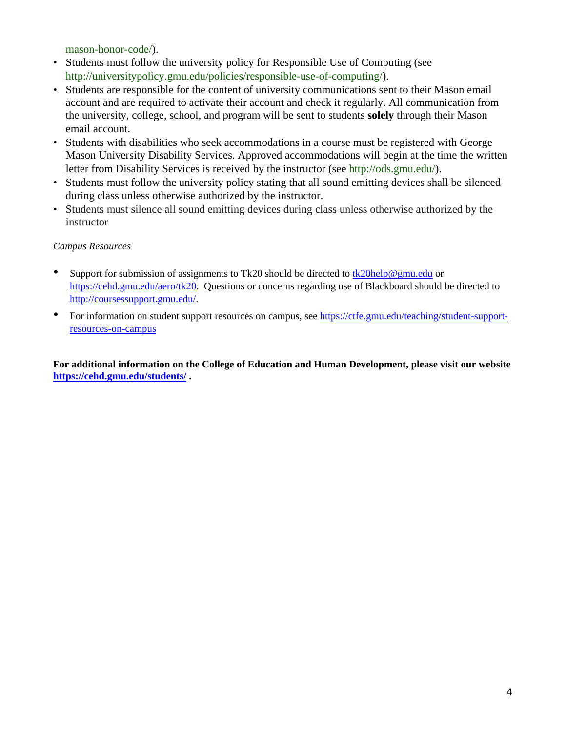mason-honor-code/).

- Students must follow the university policy for Responsible Use of Computing (see http://universitypolicy.gmu.edu/policies/responsible-use-of-computing/).
- Students are responsible for the content of university communications sent to their Mason email account and are required to activate their account and check it regularly. All communication from the university, college, school, and program will be sent to students **solely** through their Mason email account.
- Students with disabilities who seek accommodations in a course must be registered with George Mason University Disability Services. Approved accommodations will begin at the time the written letter from Disability Services is received by the instructor (see http://ods.gmu.edu/).
- Students must follow the university policy stating that all sound emitting devices shall be silenced during class unless otherwise authorized by the instructor.
- Students must silence all sound emitting devices during class unless otherwise authorized by the instructor

#### *Campus Resources*

- Support for submission of assignments to Tk20 should be directed to [tk20help@gmu.edu](mailto:tk20help@gmu.edu) or [https://cehd.gmu.edu/aero/tk20.](https://cehd.gmu.edu/aero/tk20) Questions or concerns regarding use of Blackboard should be directed to [http://coursessupport.gmu.edu/.](http://coursessupport.gmu.edu/)
- For information on student support resources on campus, see [https://ctfe.gmu.edu/teaching/student-support](https://ctfe.gmu.edu/teaching/student-support-resources-on-campus)[resources-on-campus](https://ctfe.gmu.edu/teaching/student-support-resources-on-campus)

**For additional information on the College of Education and Human Development, please visit our website <https://cehd.gmu.edu/students/> .**